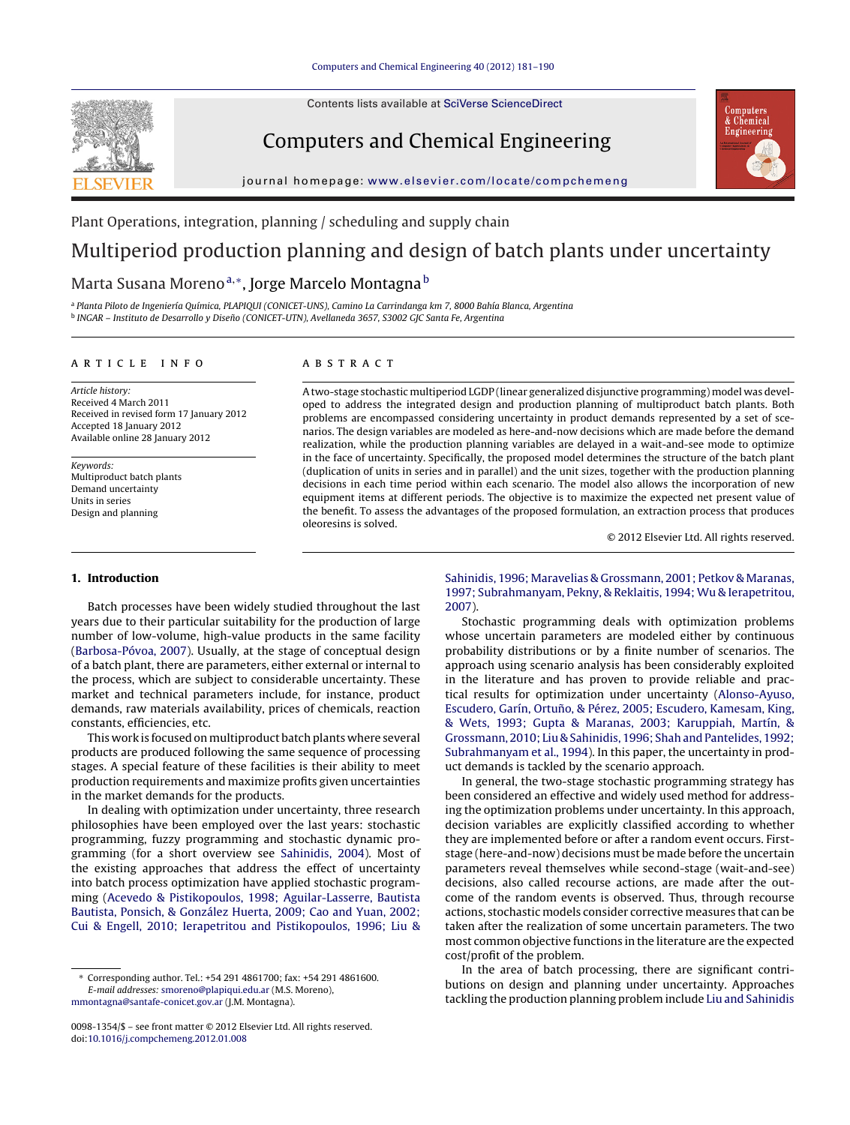**SEVIE** 

Contents lists available at SciVerse [ScienceDirect](http://www.sciencedirect.com/science/journal/00981354)

## Computers and Chemical Engineering



iournal homepage: [www.elsevier.com/locate/compchemeng](http://www.elsevier.com/locate/compchemeng)

Plant Operations, integration, planning / scheduling and supply chain

## Multiperiod production planning and design of batch plants under uncertainty

## Marta Susana Moreno<sup>a,∗</sup>, Jorge Marcelo Montagna<sup>b</sup>

<sup>a</sup> Planta Piloto de Ingeniería Química, PLAPIQUI (CONICET-UNS), Camino La Carrindanga km 7, 8000 Bahía Blanca, Argentina <sup>b</sup> INGAR – Instituto de Desarrollo y Diseño (CONICET-UTN), Avellaneda 3657, S3002 GJC Santa Fe, Argentina

#### a r t i c l e i n f o

Article history: Received 4 March 2011 Received in revised form 17 January 2012 Accepted 18 January 2012 Available online 28 January 2012

Keywords: Multiproduct batch plants Demand uncertainty Units in series Design and planning

A B S T R A C T

A two-stage stochastic multiperiod LGDP (linear generalized disjunctive programming) model was developed to address the integrated design and production planning of multiproduct batch plants. Both problems are encompassed considering uncertainty in product demands represented by a set of scenarios. The design variables are modeled as here-and-now decisions which are made before the demand realization, while the production planning variables are delayed in a wait-and-see mode to optimize in the face of uncertainty. Specifically, the proposed model determines the structure of the batch plant (duplication of units in series and in parallel) and the unit sizes, together with the production planning decisions in each time period within each scenario. The model also allows the incorporation of new equipment items at different periods. The objective is to maximize the expected net present value of the benefit. To assess the advantages of the proposed formulation, an extraction process that produces oleoresins is solved.

© 2012 Elsevier Ltd. All rights reserved.

### **1. Introduction**

Batch processes have been widely studied throughout the last years due to their particular suitability for the production of large number of low-volume, high-value products in the same facility ([Barbosa-Póvoa,](#page--1-0) [2007\).](#page--1-0) Usually, at the stage of conceptual design of a batch plant, there are parameters, either external or internal to the process, which are subject to considerable uncertainty. These market and technical parameters include, for instance, product demands, raw materials availability, prices of chemicals, reaction constants, efficiencies, etc.

This work is focused on multiproduct batch plants where several products are produced following the same sequence of processing stages. A special feature of these facilities is their ability to meet production requirements and maximize profits given uncertainties in the market demands for the products.

In dealing with optimization under uncertainty, three research philosophies have been employed over the last years: stochastic programming, fuzzy programming and stochastic dynamic programming (for a short overview see [Sahinidis,](#page--1-0) [2004\).](#page--1-0) Most of the existing approaches that address the effect of uncertainty into batch process optimization have applied stochastic programming ([Acevedo](#page--1-0) [&](#page--1-0) [Pistikopoulos,](#page--1-0) [1998;](#page--1-0) [Aguilar-Lasserre,](#page--1-0) [Bautista](#page--1-0) [Bautista,](#page--1-0) [Ponsich,](#page--1-0) [&](#page--1-0) [González](#page--1-0) [Huerta,](#page--1-0) [2009;](#page--1-0) [Cao](#page--1-0) [and](#page--1-0) [Yuan,](#page--1-0) [2002;](#page--1-0) [Cui](#page--1-0) [&](#page--1-0) [Engell,](#page--1-0) [2010;](#page--1-0) [Ierapetritou](#page--1-0) [and](#page--1-0) [Pistikopoulos,](#page--1-0) [1996;](#page--1-0) [Liu](#page--1-0) [&](#page--1-0)

[Sahinidis,](#page--1-0) [1996;](#page--1-0) [Maravelias](#page--1-0) [&](#page--1-0) [Grossmann,](#page--1-0) [2001;](#page--1-0) [Petkov](#page--1-0) [&](#page--1-0) [Maranas,](#page--1-0) [1997;](#page--1-0) [Subrahmanyam,](#page--1-0) [Pekny,](#page--1-0) [&](#page--1-0) [Reklaitis,](#page--1-0) [1994;](#page--1-0) [Wu](#page--1-0) [&](#page--1-0) [Ierapetritou,](#page--1-0) [2007\).](#page--1-0)

Stochastic programming deals with optimization problems whose uncertain parameters are modeled either by continuous probability distributions or by a finite number of scenarios. The approach using scenario analysis has been considerably exploited in the literature and has proven to provide reliable and practical results for optimization under uncertainty ([Alonso-Ayuso,](#page--1-0) [Escudero,](#page--1-0) [Garín,](#page--1-0) Ortuño, [&](#page--1-0) [Pérez,](#page--1-0) [2005;](#page--1-0) Escudero, [Kamesam,](#page--1-0) [King,](#page--1-0) [&](#page--1-0) [Wets,](#page--1-0) [1993;](#page--1-0) [Gupta](#page--1-0) [&](#page--1-0) [Maranas,](#page--1-0) [2003;](#page--1-0) [Karuppiah,](#page--1-0) [Martín,](#page--1-0) [&](#page--1-0) [Grossmann,](#page--1-0) [2010;](#page--1-0) [Liu](#page--1-0) [&](#page--1-0) [Sahinidis,](#page--1-0) [1996;](#page--1-0) [Shah](#page--1-0) [and](#page--1-0) [Pantelides,](#page--1-0) [1992;](#page--1-0) [Subrahmanyam](#page--1-0) et [al.,](#page--1-0) [1994\).](#page--1-0) In this paper, the uncertainty in product demands is tackled by the scenario approach.

In general, the two-stage stochastic programming strategy has been considered an effective and widely used method for addressing the optimization problems under uncertainty. In this approach, decision variables are explicitly classified according to whether they are implemented before or after a random event occurs. Firststage (here-and-now) decisions must be made before the uncertain parameters reveal themselves while second-stage (wait-and-see) decisions, also called recourse actions, are made after the outcome of the random events is observed. Thus, through recourse actions, stochastic models consider corrective measures that can be taken after the realization of some uncertain parameters. The two most common objective functions in the literature are the expected cost/profit of the problem.

In the area of batch processing, there are significant contributions on design and planning under uncertainty. Approaches tackling the production planning problem include [Liu](#page--1-0) [and](#page--1-0) [Sahinidis](#page--1-0)

<sup>∗</sup> Corresponding author. Tel.: +54 291 4861700; fax: +54 291 4861600. E-mail addresses: [smoreno@plapiqui.edu.ar](mailto:smoreno@plapiqui.edu.ar) (M.S. Moreno), [mmontagna@santafe-conicet.gov.ar](mailto:mmontagna@santafe-conicet.gov.ar) (J.M. Montagna).

<sup>0098-1354/\$</sup> – see front matter © 2012 Elsevier Ltd. All rights reserved. doi:[10.1016/j.compchemeng.2012.01.008](dx.doi.org/10.1016/j.compchemeng.2012.01.008)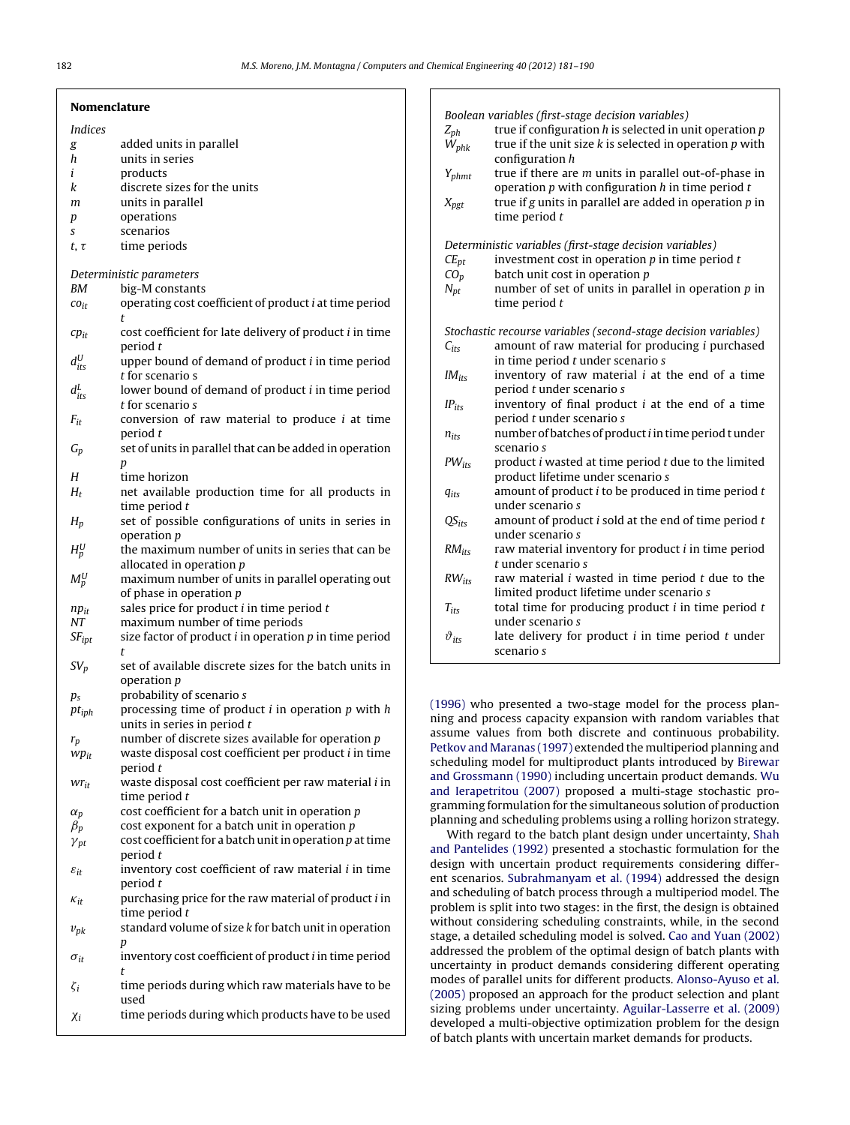|                    | <b>Nomenclature</b>                                                                     | Boolean                    |
|--------------------|-----------------------------------------------------------------------------------------|----------------------------|
| <i>Indices</i>     |                                                                                         | $Z_{ph}$                   |
| g                  | added units in parallel                                                                 | $W_{phk}$                  |
| h                  | units in series                                                                         |                            |
| i                  | products                                                                                | $Y_{phmt}$                 |
| k                  | discrete sizes for the units                                                            |                            |
| m                  | units in parallel                                                                       | $X_{pgt}$                  |
| p                  | operations                                                                              |                            |
| S                  | scenarios                                                                               |                            |
| $t, \tau$          | time periods                                                                            | Determir<br>$CE_{pt}$      |
|                    | Deterministic parameters                                                                | $CO_p$                     |
| BМ                 | big-M constants                                                                         | $N_{pt}$                   |
| $co_{it}$          | operating cost coefficient of product <i>i</i> at time period<br>t                      |                            |
| $cp_{it}$          | cost coefficient for late delivery of product i in time<br>period t                     | Stochasti<br>$C_{its}$     |
| $d_{its}^U$        | upper bound of demand of product <i>i</i> in time period<br>t for scenario s            | $IM_{its}$                 |
| $d_{its}^L$        | lower bound of demand of product <i>i</i> in time period<br>t for scenario s            | $IP_{its}$                 |
| $F_{it}$           | conversion of raw material to produce $i$ at time                                       |                            |
| $G_p$              | period t<br>set of units in parallel that can be added in operation                     | $n_{its}$                  |
| Н                  | p<br>time horizon                                                                       | $PW_{its}$                 |
| $H_t$              | net available production time for all products in                                       | $q_{its}$                  |
|                    | time period $t$                                                                         |                            |
| $H_p$              | set of possible configurations of units in series in<br>operation <i>p</i>              | $QS_{its}$                 |
| $H_p^U$            | the maximum number of units in series that can be<br>allocated in operation $p$         | $RM_{its}$                 |
| $M_p^U$            | maximum number of units in parallel operating out<br>of phase in operation $p$          | $RW_{its}$                 |
| $np_{it}$          | sales price for product $i$ in time period $t$                                          | $T_{its}$                  |
| NT                 | maximum number of time periods                                                          |                            |
| $SF_{\text{ipt}}$  | size factor of product $i$ in operation $p$ in time period<br>t                         | $\vartheta_{its}$          |
| $SV_p$             | set of available discrete sizes for the batch units in<br>operation p                   |                            |
| $p_{s}$            | probability of scenario s                                                               | $(1996)$ who               |
| $pt_{iph}$         | processing time of product $i$ in operation $p$ with $h$<br>units in series in period t | ning and p                 |
| $r_p$              | number of discrete sizes available for operation $p$                                    | assume va                  |
| $wp_{it}$          | waste disposal cost coefficient per product i in time                                   | Petkov and                 |
|                    | period t                                                                                | scheduling<br>and Grossn   |
| $wr_{it}$          | waste disposal cost coefficient per raw material i in<br>time period $t$                | and Ierape                 |
| $\alpha_p$         | cost coefficient for a batch unit in operation $p$                                      | gramming<br>planning ar    |
| $\beta_p$          | cost exponent for a batch unit in operation $p$                                         | With re                    |
| $\gamma_{pt}$      | cost coefficient for a batch unit in operation $p$ at time                              | and Panteli                |
|                    | period t                                                                                | design wit                 |
| $\varepsilon_{it}$ | inventory cost coefficient of raw material i in time                                    | ent scenari                |
|                    | period t                                                                                | and schedu                 |
| $\kappa_{it}$      | purchasing price for the raw material of product i in<br>time period $t$                | problem is                 |
|                    | standard volume of size k for batch unit in operation                                   | without co                 |
| $v_{pk}$           |                                                                                         | stage, a det               |
| $\sigma_{it}$      | p<br>inventory cost coefficient of product <i>i</i> in time period                      | addressed 1<br>uncertainty |
|                    | t                                                                                       | modes of n                 |

 $\zeta_i$  time periods during which raw materials have to be used

 $\chi_i$  time periods during which products have to be used

| $Z_{ph}$<br>$W_{phk}$                                           | Boolean variables (first-stage decision variables)<br>true if configuration $h$ is selected in unit operation $p$<br>true if the unit size $k$ is selected in operation $p$ with<br>configuration h |  |
|-----------------------------------------------------------------|-----------------------------------------------------------------------------------------------------------------------------------------------------------------------------------------------------|--|
| $Y_{phmt}$                                                      | true if there are m units in parallel out-of-phase in<br>operation $p$ with configuration $h$ in time period $t$                                                                                    |  |
| $X_{pgt}$                                                       | true if $g$ units in parallel are added in operation $p$ in<br>time period $t$                                                                                                                      |  |
| Deterministic variables (first-stage decision variables)        |                                                                                                                                                                                                     |  |
| $CE_{pt}$                                                       | investment cost in operation $p$ in time period $t$                                                                                                                                                 |  |
| $CO_p$                                                          | batch unit cost in operation $p$                                                                                                                                                                    |  |
| $N_{pt}$                                                        | number of set of units in parallel in operation $p$ in<br>time period $t$                                                                                                                           |  |
| Stochastic recourse variables (second-stage decision variables) |                                                                                                                                                                                                     |  |
| $C_{itS}$                                                       | amount of raw material for producing <i>i</i> purchased                                                                                                                                             |  |
|                                                                 | in time period t under scenario s                                                                                                                                                                   |  |
| $IM_{its}$                                                      | inventory of raw material $i$ at the end of a time<br>period t under scenario s                                                                                                                     |  |
| $IP_{itc}$                                                      | inventory of final product $i$ at the end of a time<br>period t under scenario s                                                                                                                    |  |
| $n_{it}$                                                        | number of batches of product i in time period t under<br>scenario s                                                                                                                                 |  |
| $PW_{its}$                                                      | product <i>i</i> wasted at time period <i>t</i> due to the limited<br>product lifetime under scenario s                                                                                             |  |
| $q_{its}$                                                       | amount of product $i$ to be produced in time period $t$<br>under scenario s                                                                                                                         |  |
| $QS_{its}$                                                      | amount of product i sold at the end of time period t<br>under scenario s                                                                                                                            |  |
| $RM_{its}$                                                      | raw material inventory for product <i>i</i> in time period<br>t under scenario s                                                                                                                    |  |
| $RW_{its}$                                                      | raw material $i$ wasted in time period $t$ due to the<br>limited product lifetime under scenario s                                                                                                  |  |
| $T_{its}$                                                       | total time for producing product $i$ in time period $t$<br>under scenario s                                                                                                                         |  |
| $\vartheta_{its}$                                               | late delivery for product $i$ in time period $t$ under<br>scenario s                                                                                                                                |  |
|                                                                 |                                                                                                                                                                                                     |  |

(0) presented a two-stage model for the process planprocess capacity expansion with random variables that llues from both discrete and continuous probability. Maranas (1997) extended the multiperiod planning [and](#page--1-0) model for multiproduct plants introduced by [Birewar](#page--1-0) nann (1990) including uncertain product dem[and](#page--1-0)s. [Wu](#page--1-0) tritou [\(2007\)](#page--1-0) proposed a multi-stage stochastic proformulation for the simultaneous solution of production nd scheduling problems using a rolling horizon strategy.

gard to the batch plant design under uncertainty, [Shah](#page--1-0) ides [\(1992\)](#page--1-0) presented a stochastic formulation for the h uncertain product requirements considering differ-ios. [Subrahmanyam](#page--1-0) et [al.](#page--1-0) [\(1994\)](#page--1-0) addressed the design aling of batch process through a multiperiod model. The split into two stages: in the first, the design is obtained insidering scheduling constraints, while, in the second tailed scheduling model is solved. [Cao](#page--1-0) [and](#page--1-0) [Yuan](#page--1-0) [\(2002\)](#page--1-0) the problem of the optimal design of batch plants with y in product demands considering different operating modes of parallel units for different products. [Alonso-Ayuso](#page--1-0) et [al.](#page--1-0) [\(2005\)](#page--1-0) proposed an approach for the product selection and plant sizing problems under uncertainty. [Aguilar-Lasserre](#page--1-0) et [al.](#page--1-0) [\(2009\)](#page--1-0) developed a multi-objective optimization problem for the design of batch plants with uncertain market demands for products.